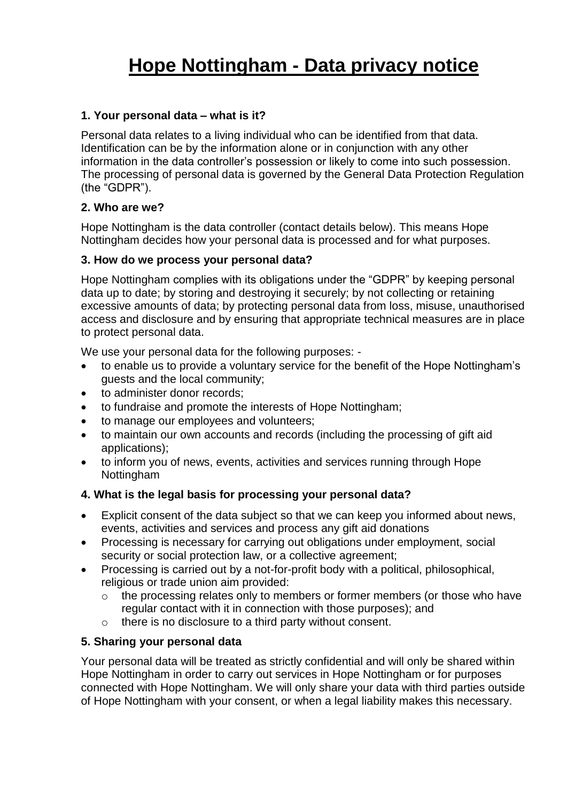# **Hope Nottingham - Data privacy notice**

## **1. Your personal data – what is it?**

Personal data relates to a living individual who can be identified from that data. Identification can be by the information alone or in conjunction with any other information in the data controller's possession or likely to come into such possession. The processing of personal data is governed by the General Data Protection Regulation (the "GDPR").

#### **2. Who are we?**

Hope Nottingham is the data controller (contact details below). This means Hope Nottingham decides how your personal data is processed and for what purposes.

#### **3. How do we process your personal data?**

Hope Nottingham complies with its obligations under the "GDPR" by keeping personal data up to date; by storing and destroying it securely; by not collecting or retaining excessive amounts of data; by protecting personal data from loss, misuse, unauthorised access and disclosure and by ensuring that appropriate technical measures are in place to protect personal data.

We use your personal data for the following purposes: -

- to enable us to provide a voluntary service for the benefit of the Hope Nottingham's guests and the local community;
- to administer donor records;
- to fundraise and promote the interests of Hope Nottingham;
- to manage our employees and volunteers;
- to maintain our own accounts and records (including the processing of gift aid applications);
- to inform you of news, events, activities and services running through Hope Nottingham

## **4. What is the legal basis for processing your personal data?**

- Explicit consent of the data subject so that we can keep you informed about news, events, activities and services and process any gift aid donations
- Processing is necessary for carrying out obligations under employment, social security or social protection law, or a collective agreement;
- Processing is carried out by a not-for-profit body with a political, philosophical, religious or trade union aim provided:
	- o the processing relates only to members or former members (or those who have regular contact with it in connection with those purposes); and
	- o there is no disclosure to a third party without consent.

## **5. Sharing your personal data**

Your personal data will be treated as strictly confidential and will only be shared within Hope Nottingham in order to carry out services in Hope Nottingham or for purposes connected with Hope Nottingham. We will only share your data with third parties outside of Hope Nottingham with your consent, or when a legal liability makes this necessary.